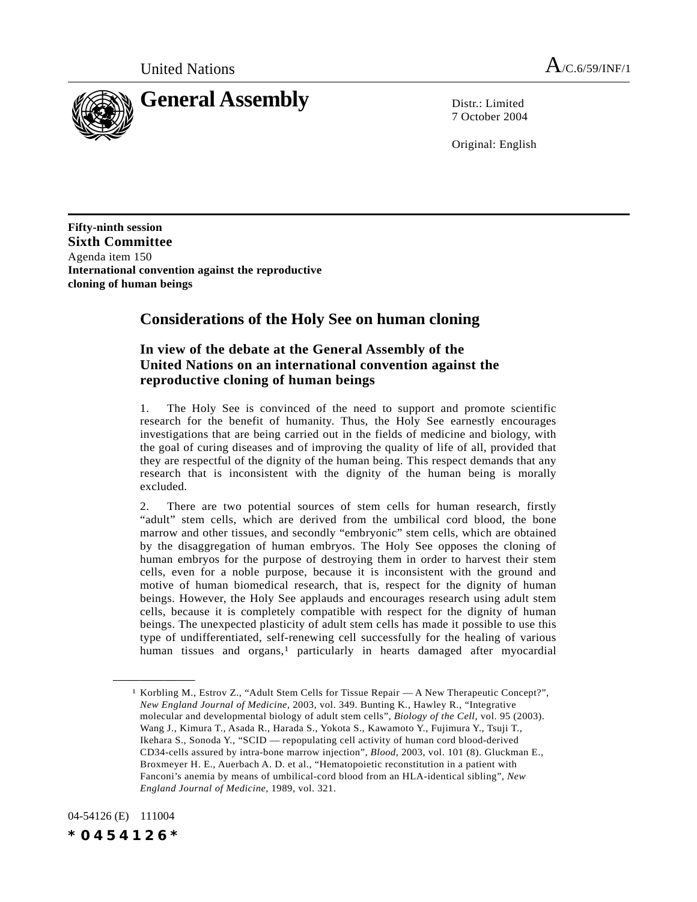

7 October 2004

Original: English

**Fifty-ninth session Sixth Committee** Agenda item 150 **International convention against the reproductive cloning of human beings**

## **Considerations of the Holy See on human cloning**

## **In view of the debate at the General Assembly of the United Nations on an international convention against the reproductive cloning of human beings**

1. The Holy See is convinced of the need to support and promote scientific research for the benefit of humanity. Thus, the Holy See earnestly encourages investigations that are being carried out in the fields of medicine and biology, with the goal of curing diseases and of improving the quality of life of all, provided that they are respectful of the dignity of the human being. This respect demands that any research that is inconsistent with the dignity of the human being is morally excluded.

2. There are two potential sources of stem cells for human research, firstly "adult" stem cells, which are derived from the umbilical cord blood, the bone marrow and other tissues, and secondly "embryonic" stem cells, which are obtained by the disaggregation of human embryos. The Holy See opposes the cloning of human embryos for the purpose of destroying them in order to harvest their stem cells, even for a noble purpose, because it is inconsistent with the ground and motive of human biomedical research, that is, respect for the dignity of human beings. However, the Holy See applauds and encourages research using adult stem cells, because it is completely compatible with respect for the dignity of human beings. The unexpected plasticity of adult stem cells has made it possible to use this type of undifferentiated, self-renewing cell successfully for the healing of various human tissues and organs,<sup>1</sup> particularly in hearts damaged after myocardial

04-54126 (E) 111004 *\*0454126\**

**\_\_\_\_\_\_\_\_\_\_\_\_\_\_\_\_\_\_**

<sup>1</sup> Korbling M., Estrov Z., "Adult Stem Cells for Tissue Repair — A New Therapeutic Concept?", *New England Journal of Medicine*, 2003, vol. 349. Bunting K., Hawley R., "Integrative molecular and developmental biology of adult stem cells", *Biology of the Cell*, vol. 95 (2003). Wang J., Kimura T., Asada R., Harada S., Yokota S., Kawamoto Y., Fujimura Y., Tsuji T., Ikehara S., Sonoda Y., "SCID — repopulating cell activity of human cord blood-derived CD34-cells assured by intra-bone marrow injection", *Blood*, 2003, vol. 101 (8). Gluckman E., Broxmeyer H. E., Auerbach A. D. et al., "Hematopoietic reconstitution in a patient with Fanconi's anemia by means of umbilical-cord blood from an HLA-identical sibling", *New England Journal of Medicine*, 1989, vol. 321.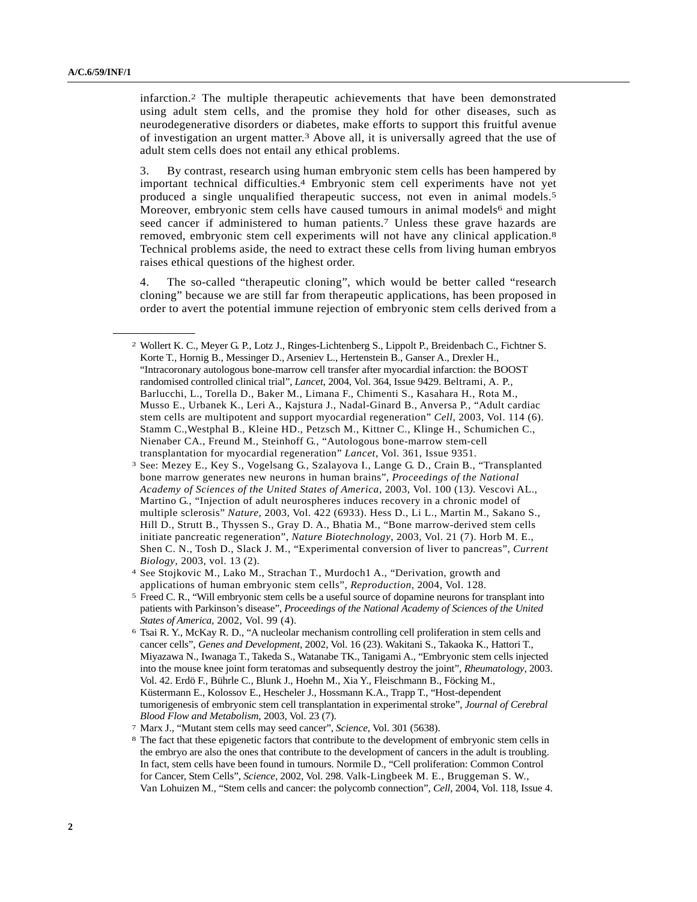**\_\_\_\_\_\_\_\_\_\_\_\_\_\_\_\_\_\_**

infarction.2 The multiple therapeutic achievements that have been demonstrated using adult stem cells, and the promise they hold for other diseases, such as neurodegenerative disorders or diabetes, make efforts to support this fruitful avenue of investigation an urgent matter.3 Above all, it is universally agreed that the use of adult stem cells does not entail any ethical problems.

3. By contrast, research using human embryonic stem cells has been hampered by important technical difficulties.4 Embryonic stem cell experiments have not yet produced a single unqualified therapeutic success, not even in animal models.5 Moreover, embryonic stem cells have caused tumours in animal models<sup>6</sup> and might seed cancer if administered to human patients.<sup>7</sup> Unless these grave hazards are removed, embryonic stem cell experiments will not have any clinical application.8 Technical problems aside, the need to extract these cells from living human embryos raises ethical questions of the highest order.

4. The so-called "therapeutic cloning", which would be better called "research cloning" because we are still far from therapeutic applications, has been proposed in order to avert the potential immune rejection of embryonic stem cells derived from a

<sup>2</sup> Wollert K. C., Meyer G. P., Lotz J., Ringes-Lichtenberg S., Lippolt P., Breidenbach C., Fichtner S. Korte T., Hornig B., Messinger D., Arseniev L., Hertenstein B., Ganser A., Drexler H., "Intracoronary autologous bone-marrow cell transfer after myocardial infarction: the BOOST randomised controlled clinical trial", *Lancet*, 2004, Vol. 364, Issue 9429. Beltrami, A. P., Barlucchi, L., Torella D., Baker M., Limana F., Chimenti S., Kasahara H., Rota M., Musso E., Urbanek K., Leri A., Kajstura J., Nadal-Ginard B., Anversa P., "Adult cardiac stem cells are multipotent and support myocardial regeneration" *Cell*, 2003, Vol. 114 (6). Stamm C.,Westphal B., Kleine HD., Petzsch M., Kittner C., Klinge H., Schumichen C., Nienaber CA., Freund M., Steinhoff G., "Autologous bone-marrow stem-cell transplantation for myocardial regeneration" *Lancet*, Vol. 361, Issue 9351.

<sup>3</sup> See: Mezey E., Key S., Vogelsang G., Szalayova I., Lange G. D., Crain B., "Transplanted bone marrow generates new neurons in human brains", *Proceedings of the National Academy of Sciences of the United States of America,* 2003, Vol. 100 (13*).* Vescovi AL., Martino G., "Injection of adult neurospheres induces recovery in a chronic model of multiple sclerosis" *Nature*, 2003, Vol. 422 (6933). Hess D., Li L., Martin M., Sakano S., Hill D., Strutt B., Thyssen S., Gray D. A., Bhatia M., "Bone marrow-derived stem cells initiate pancreatic regeneration", *Nature Biotechnology*, 2003, Vol. 21 (7). Horb M. E., Shen C. N., Tosh D., Slack J. M., "Experimental conversion of liver to pancreas", *Current Biology*, 2003, vol. 13 (2)*.*

<sup>4</sup> See Stojkovic M., Lako M., Strachan T., Murdoch1 A., "Derivation, growth and applications of human embryonic stem cells", *Reproduction,* 2004, Vol. 128.

<sup>5</sup> Freed C. R., "Will embryonic stem cells be a useful source of dopamine neurons for transplant into patients with Parkinson's disease", *Proceedings of the National Academy of Sciences of the United States of America,* 2002, Vol. 99 (4).

<sup>6</sup> Tsai R. Y., McKay R. D., "A nucleolar mechanism controlling cell proliferation in stem cells and cancer cells", *Genes and Development*, 2002, Vol. 16 (23). Wakitani S., Takaoka K., Hattori T., Miyazawa N., Iwanaga T., Takeda S., Watanabe TK., Tanigami A., "Embryonic stem cells injected into the mouse knee joint form teratomas and subsequently destroy the joint", *Rheumatology*, 2003. Vol. 42. Erdö F., Bührle C., Blunk J., Hoehn M., Xia Y., Fleischmann B., Föcking M., Küstermann E., Kolossov E., Hescheler J., Hossmann K.A., Trapp T., "Host-dependent tumorigenesis of embryonic stem cell transplantation in experimental stroke", *Journal of Cerebral Blood Flow and Metabolism*, 2003, Vol. 23 (7).

<sup>7</sup> Marx J., "Mutant stem cells may seed cancer", *Science*, Vol. 301 (5638).

<sup>8</sup> The fact that these epigenetic factors that contribute to the development of embryonic stem cells in the embryo are also the ones that contribute to the development of cancers in the adult is troubling. In fact, stem cells have been found in tumours. Normile D., "Cell proliferation: Common Control for Cancer, Stem Cells", *Science,* 2002, Vol. 298. Valk-Lingbeek M. E., Bruggeman S. W., Van Lohuizen M., "Stem cells and cancer: the polycomb connection", *Cell*, 2004, Vol. 118, Issue 4.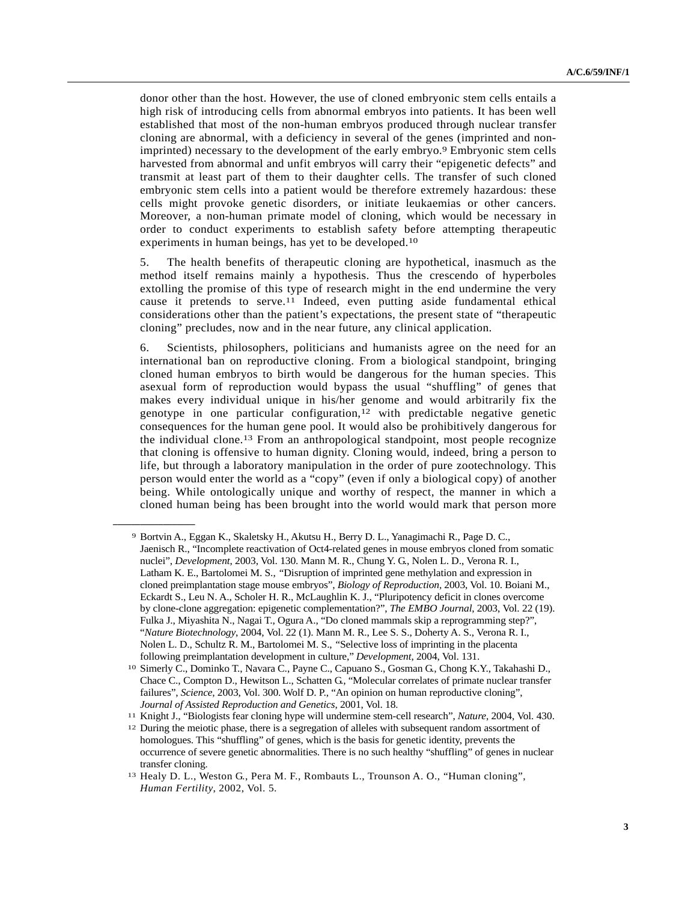donor other than the host. However, the use of cloned embryonic stem cells entails a high risk of introducing cells from abnormal embryos into patients. It has been well established that most of the non-human embryos produced through nuclear transfer cloning are abnormal, with a deficiency in several of the genes (imprinted and nonimprinted) necessary to the development of the early embryo.9 Embryonic stem cells harvested from abnormal and unfit embryos will carry their "epigenetic defects" and transmit at least part of them to their daughter cells. The transfer of such cloned embryonic stem cells into a patient would be therefore extremely hazardous: these cells might provoke genetic disorders, or initiate leukaemias or other cancers. Moreover, a non-human primate model of cloning, which would be necessary in order to conduct experiments to establish safety before attempting therapeutic experiments in human beings, has yet to be developed.10

5. The health benefits of therapeutic cloning are hypothetical, inasmuch as the method itself remains mainly a hypothesis. Thus the crescendo of hyperboles extolling the promise of this type of research might in the end undermine the very cause it pretends to serve.11 Indeed, even putting aside fundamental ethical considerations other than the patient's expectations, the present state of "therapeutic cloning" precludes, now and in the near future, any clinical application.

6. Scientists, philosophers, politicians and humanists agree on the need for an international ban on reproductive cloning. From a biological standpoint, bringing cloned human embryos to birth would be dangerous for the human species. This asexual form of reproduction would bypass the usual "shuffling" of genes that makes every individual unique in his/her genome and would arbitrarily fix the genotype in one particular configuration,<sup>12</sup> with predictable negative genetic consequences for the human gene pool. It would also be prohibitively dangerous for the individual clone.13 From an anthropological standpoint, most people recognize that cloning is offensive to human dignity. Cloning would, indeed, bring a person to life, but through a laboratory manipulation in the order of pure zootechnology. This person would enter the world as a "copy" (even if only a biological copy) of another being. While ontologically unique and worthy of respect, the manner in which a cloned human being has been brought into the world would mark that person more

**\_\_\_\_\_\_\_\_\_\_\_\_\_\_\_\_\_\_**

<sup>9</sup> Bortvin A., Eggan K., Skaletsky H., Akutsu H., Berry D. L., Yanagimachi R., Page D. C., Jaenisch R., "Incomplete reactivation of Oct4-related genes in mouse embryos cloned from somatic nuclei", *Development*, 2003, Vol. 130. Mann M. R., Chung Y. G., Nolen L. D., Verona R. I., Latham K. E., Bartolomei M. S., *"*Disruption of imprinted gene methylation and expression in cloned preimplantation stage mouse embryos", *Biology of Reproduction,* 2003, Vol. 10. Boiani M., Eckardt S., Leu N. A., Scholer H. R., McLaughlin K. J., "Pluripotency deficit in clones overcome by clone-clone aggregation: epigenetic complementation?", *The EMBO Journal*, 2003, Vol. 22 (19). Fulka J., Miyashita N., Nagai T., Ogura A., "Do cloned mammals skip a reprogramming step?", "*Nature Biotechnology*, 2004, Vol. 22 (1). Mann M. R., Lee S. S., Doherty A. S., Verona R. I., Nolen L. D., Schultz R. M., Bartolomei M. S., *"*Selective loss of imprinting in the placenta following preimplantation development in culture," *Development*, 2004, Vol. 131.

<sup>10</sup> Simerly C., Dominko T., Navara C., Payne C., Capuano S., Gosman G., Chong K.Y., Takahashi D., Chace C., Compton D., Hewitson L., Schatten G., "Molecular correlates of primate nuclear transfer failures", *Science*, 2003, Vol. 300. Wolf D. P., "An opinion on human reproductive cloning", *Journal of Assisted Reproduction and Genetics*, 2001, Vol. 18.

<sup>11</sup> Knight J., "Biologists fear cloning hype will undermine stem-cell research", *Nature*, 2004, Vol. 430.

<sup>&</sup>lt;sup>12</sup> During the meiotic phase, there is a segregation of alleles with subsequent random assortment of homologues. This "shuffling" of genes, which is the basis for genetic identity, prevents the occurrence of severe genetic abnormalities. There is no such healthy "shuffling" of genes in nuclear transfer cloning.

<sup>13</sup> Healy D. L., Weston G., Pera M. F., Rombauts L., Trounson A. O., "Human cloning", *Human Fertility*, 2002, Vol. 5.